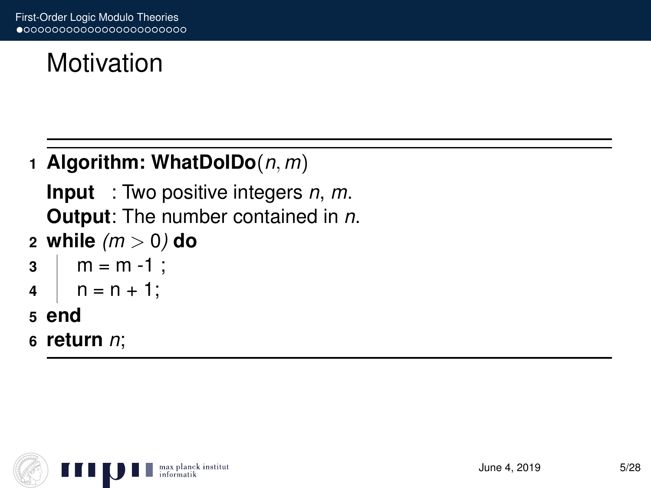# Motivation

### **1 Algorithm: WhatDoIDo**(*n*, *m*)

**Input** : Two positive integers *n*, *m*. **Output**: The number contained in *n*.

**2 while** *(m* > 0*)* **do**

```
3 \mid m = m - 1;
```

```
4 \mid n = n + 1;
```
- **5 end**
- **6 return** *n*;

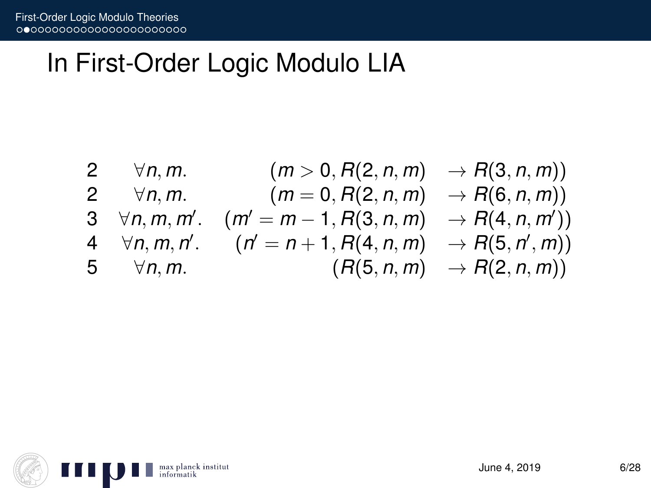## In First-Order Logic Modulo LIA

| 2 $\forall n,m$ . | $(m > 0, R(2, n, m) \rightarrow R(3, n, m))$                              |                                       |
|-------------------|---------------------------------------------------------------------------|---------------------------------------|
| 2 $\forall n,m$ . | $(m = 0, R(2, n, m) \rightarrow R(6, n, m))$                              |                                       |
|                   | 3 $\forall n, m, m'$ . $(m' = m - 1, R(3, n, m) \rightarrow R(4, n, m'))$ |                                       |
|                   | 4 $\forall n, m, n'$ . $(n' = n + 1, R(4, n, m) \rightarrow R(5, n', m))$ |                                       |
| 5 $\forall n,m$ . |                                                                           | $(R(5, n, m) \rightarrow R(2, n, m))$ |
|                   |                                                                           |                                       |

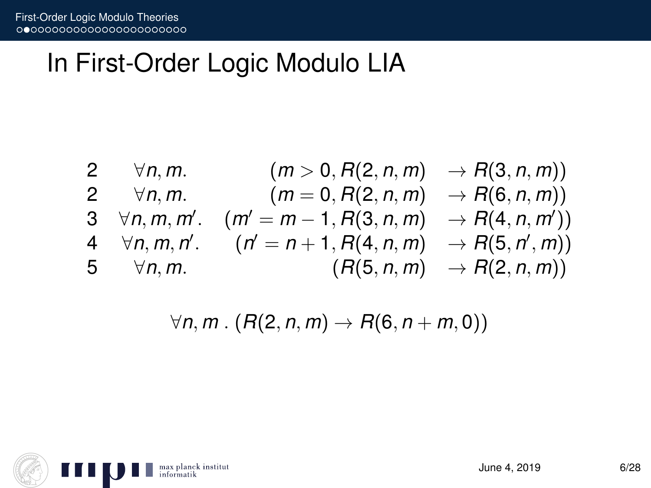## In First-Order Logic Modulo LIA

| 2 | $\forall n, m.$      | $(m > 0, R(2, n, m) \rightarrow R(3, n, m))$       |
|---|----------------------|----------------------------------------------------|
| 2 | $\forall n, m.$      | $(m = 0, R(2, n, m) \rightarrow R(6, n, m))$       |
| 3 | $\forall n, m, m'$ . | $(m' = m - 1, R(3, n, m) \rightarrow R(4, n, m'))$ |
| 4 | $\forall n, m, n'$ . | $(n' = n + 1, R(4, n, m) \rightarrow R(5, n', m))$ |
| 5 | $\forall n, m.$      | $(R(5, n, m) \rightarrow R(2, n, m))$              |

$$
\forall n,m \,.\, (R(2,n,m) \rightarrow R(6,n+m,0))
$$

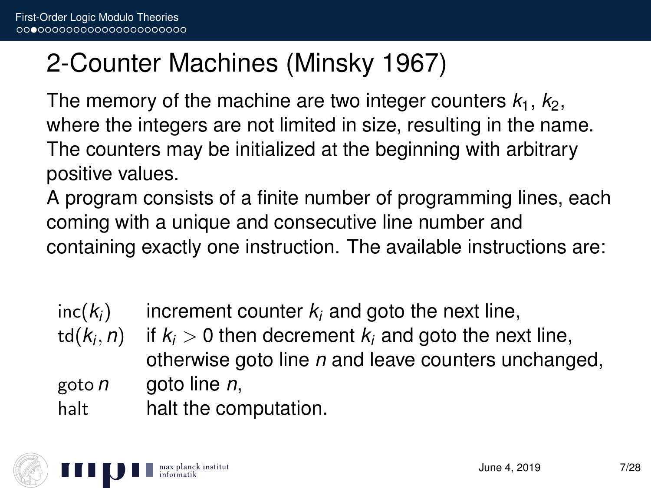## 2-Counter Machines (Minsky 1967)

The memory of the machine are two integer counters  $k_1$ ,  $k_2$ , where the integers are not limited in size, resulting in the name. The counters may be initialized at the beginning with arbitrary positive values.

A program consists of a finite number of programming lines, each coming with a unique and consecutive line number and containing exactly one instruction. The available instructions are:

| $inc(k_i)$ | increment counter $k_i$ and goto the next line, |  |
|------------|-------------------------------------------------|--|
|------------|-------------------------------------------------|--|

 $td(k<sub>i</sub>, n)$ if  $k_i > 0$  then decrement  $k_i$  and goto the next line, otherwise goto line *n* and leave counters unchanged, goto *n* goto line *n*,

halt halt the computation.

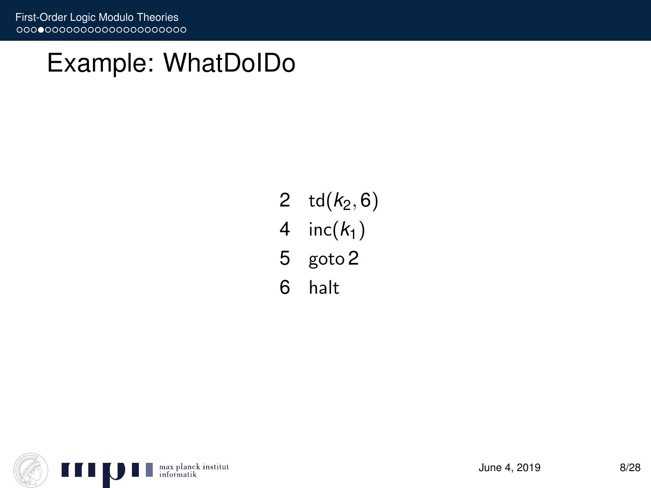## Example: WhatDoIDo

- 2  $td(k_2, 6)$
- 4 inc $(k_1)$
- 5 goto 2
- 6 halt

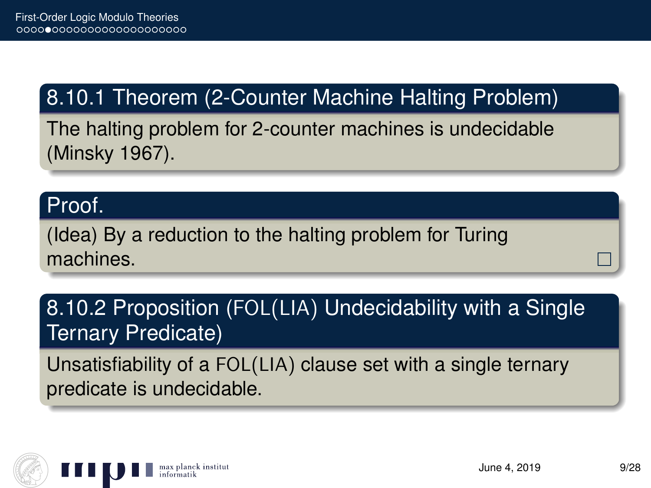## 8.10.1 Theorem (2-Counter Machine Halting Problem)

The halting problem for 2-counter machines is undecidable (Minsky 1967).

#### Proof.

(Idea) By a reduction to the halting problem for Turing machines.

### 8.10.2 Proposition (FOL(LIA) Undecidability with a Single Ternary Predicate)

Unsatisfiability of a FOL(LIA) clause set with a single ternary predicate is undecidable.

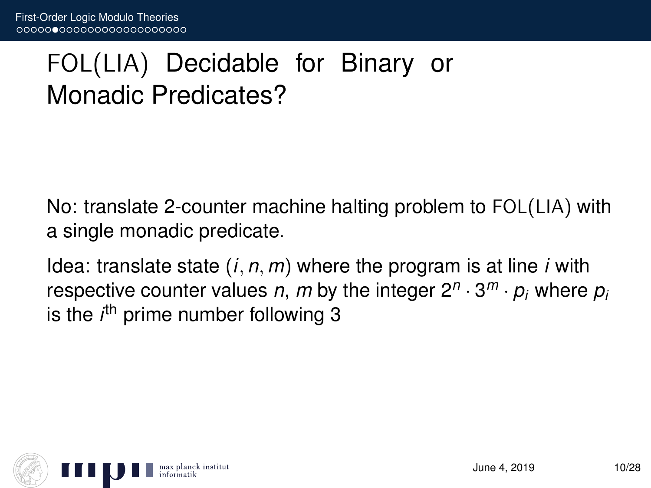# FOL(LIA) Decidable for Binary or Monadic Predicates?

No: translate 2-counter machine halting problem to FOL(LIA) with a single monadic predicate.

Idea: translate state (*i*, *n*, *m*) where the program is at line *i* with respective counter values *n*, *m* by the integer 2*<sup>n</sup>* · 3 *<sup>m</sup>* · *p<sup>i</sup>* where *p<sup>i</sup>* is the *i*<sup>th</sup> prime number following 3

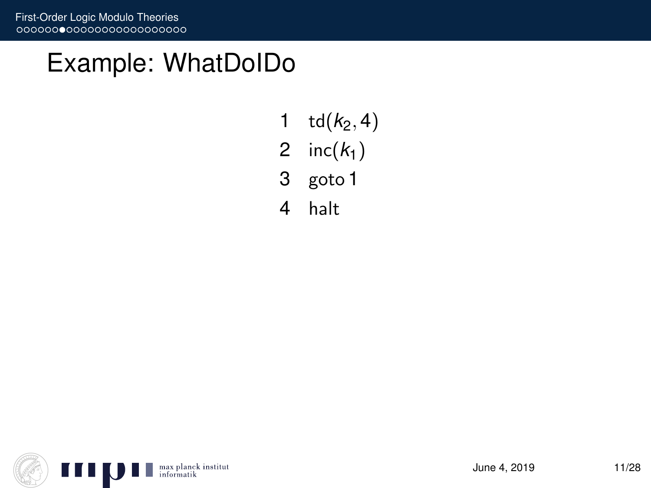## Example: WhatDoIDo

- 1  $td(k_2, 4)$
- 2 inc $(k_1)$
- 3 goto 1
- 4 halt

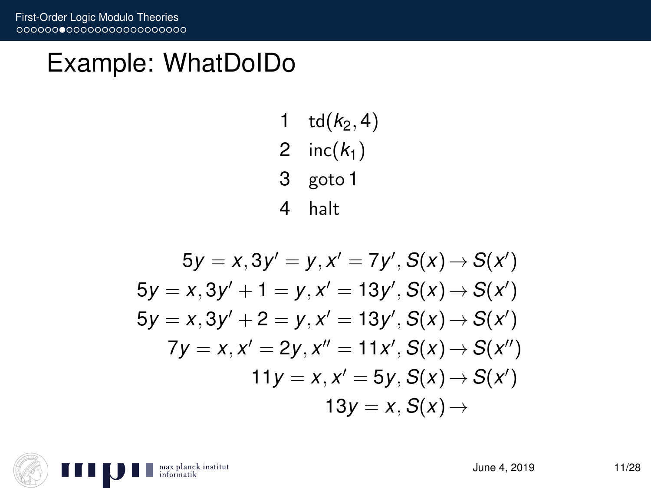## Example: WhatDoIDo

- $td(k_2, 4)$
- 2 inc $(k_1)$
- goto 1
- halt

$$
5y = x, 3y' = y, x' = 7y', S(x) \rightarrow S(x')
$$
  
\n
$$
5y = x, 3y' + 1 = y, x' = 13y', S(x) \rightarrow S(x')
$$
  
\n
$$
5y = x, 3y' + 2 = y, x' = 13y', S(x) \rightarrow S(x')
$$
  
\n
$$
7y = x, x' = 2y, x'' = 11x', S(x) \rightarrow S(x'')
$$
  
\n
$$
11y = x, x' = 5y, S(x) \rightarrow S(x')
$$
  
\n
$$
13y = x, S(x) \rightarrow
$$

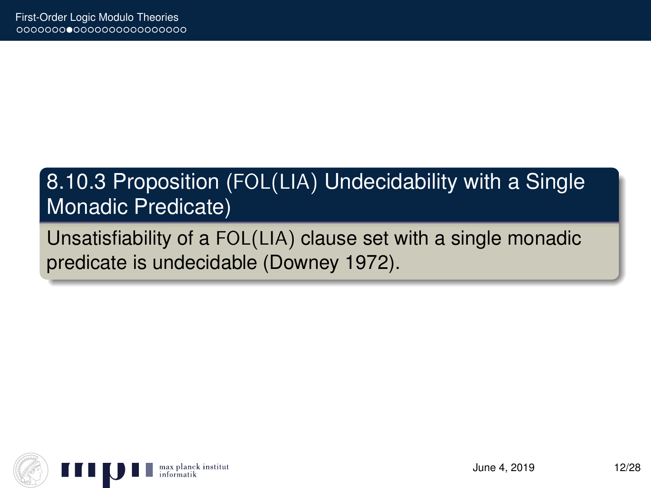### 8.10.3 Proposition (FOL(LIA) Undecidability with a Single Monadic Predicate)

Unsatisfiability of a FOL(LIA) clause set with a single monadic predicate is undecidable (Downey 1972).

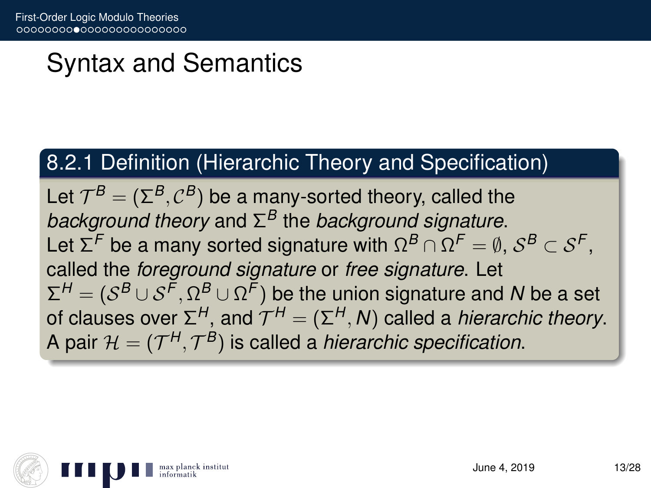# Syntax and Semantics

### 8.2.1 Definition (Hierarchic Theory and Specification)

Let  $\mathcal{T}^{\mathcal{B}} = (\Sigma^{\mathcal{B}}, \mathcal{C}^{\mathcal{B}})$  be a many-sorted theory, called the *background theory* and Σ *<sup>B</sup>* the *background signature*. Let  $\Sigma^\digamma$  be a many sorted signature with  $\Omega^\mathcal{B}\cap\Omega^\digamma=\emptyset,$   $\mathcal{S}^\mathcal{B}\subset\mathcal{S}^\digamma,$ called the *foreground signature* or *free signature*. Let  $\Sigma^H = (\mathcal{S}^B \cup \mathcal{S}^F,\Omega^B \cup \Omega^F)$  be the union signature and *N* be a set of clauses over Σ<sup>H</sup>, and  $\mathcal{T}^H = (\Sigma^H, \mathcal{N})$  called a *hierarchic theory*. A pair  $\mathcal{H} = (\mathcal{T}^{H}, \mathcal{T}^{B})$  is called a *hierarchic specification*.

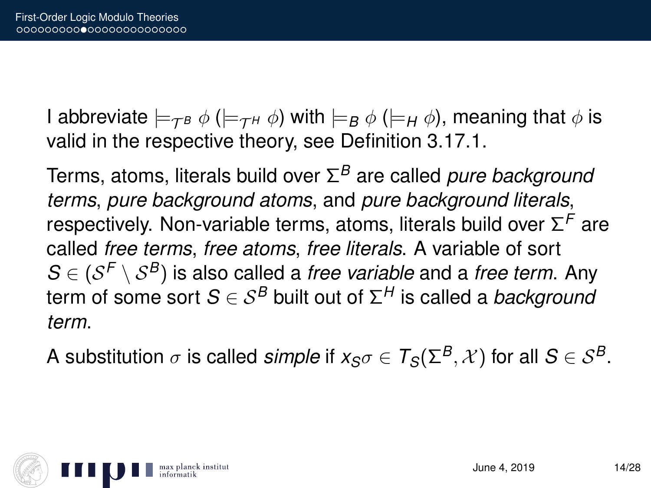I abbreviate  $\models_{\mathcal{TB}} \phi \ (\models_{\mathcal{TH}} \phi)$  with  $\models_{\mathcal{B}} \phi \ (\models_{\mathcal{H}} \phi)$ , meaning that  $\phi$  is valid in the respective theory, see Definition 3.17.1.

Terms, atoms, literals build over Σ *<sup>B</sup>* are called *pure background terms*, *pure background atoms*, and *pure background literals*, respectively. Non-variable terms, atoms, literals build over Σ *<sup>F</sup>* are called *free terms*, *free atoms*, *free literals*. A variable of sort  $\mathcal{S} \in (\mathcal{S}^{\mathcal{F}} \setminus \mathcal{S}^{\mathcal{B}})$  is also called a *free variable* and a *free term*. Any term of some sort *S* ∈ S*<sup>B</sup>* built out of Σ *<sup>H</sup>* is called a *background term*.

A substitution  $\sigma$  is called *simple* if  $x_{S} \sigma \in T_{S}(\Sigma^{B}, \mathcal{X})$  for all  $S \in \mathcal{S}^{B}$ .

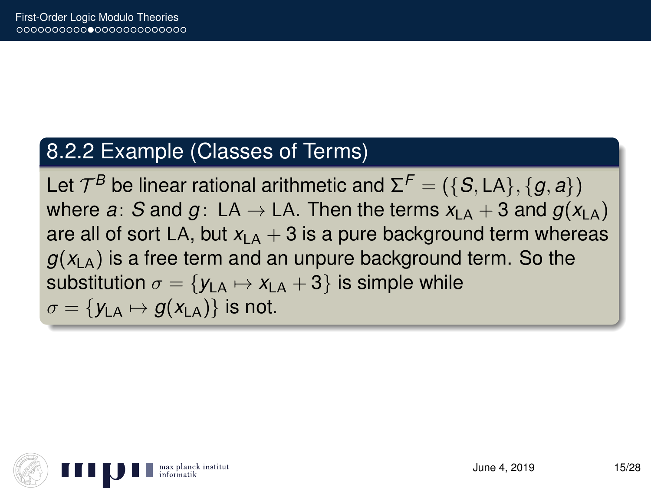#### 8.2.2 Example (Classes of Terms)

Let  $\mathcal{T}^B$  be linear rational arithmetic and  $\Sigma^F = (\{\mathcal{S}, \mathsf{LA}\}, \{g, a\})$ where *a*: *S* and *g* : LA  $\rightarrow$  LA. Then the terms  $x_{LA} + 3$  and  $g(x_{LA})$ are all of sort LA, but  $x_{\text{A}} + 3$  is a pure background term whereas  $g(x_{LA})$  is a free term and an unpure background term. So the substitution  $\sigma = \{y_{LA} \mapsto x_{LA} + 3\}$  is simple while  $\sigma = \{y_{\text{LA}} \mapsto q(x_{\text{LA}})\}\$ is not.

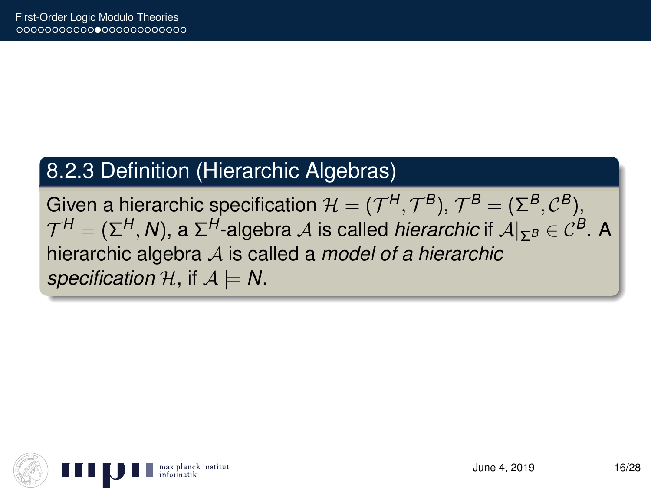### 8.2.3 Definition (Hierarchic Algebras)

Given a hierarchic specification  $\mathcal{H} = (\mathcal{T}^H, \mathcal{T}^B), \, \mathcal{T}^B = (\Sigma^B, \mathcal{C}^B),$  $\mathcal{T}^H = (\Sigma^H, N)$ , a  $\Sigma^H$ -algebra  $\mathcal A$  is called *hierarchic* if  $\mathcal A|_{\Sigma^B} \in \mathcal C^B.$  A hierarchic algebra A is called a *model of a hierarchic specification*  $H$ , if  $A \models N$ .

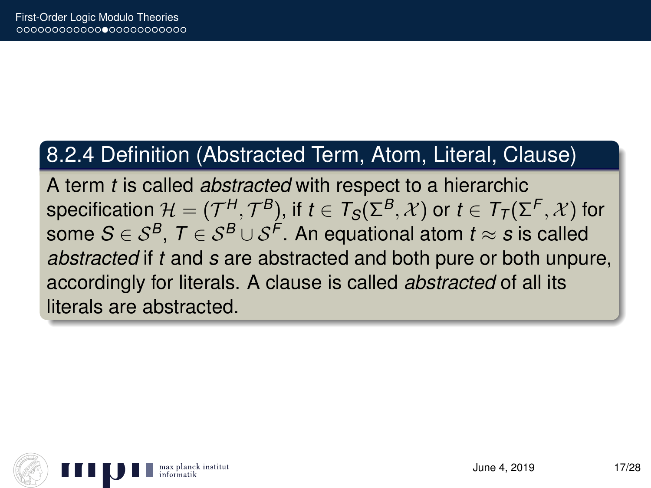#### 8.2.4 Definition (Abstracted Term, Atom, Literal, Clause)

A term *t* is called *abstracted* with respect to a hierarchic specification  $\mathcal{H}=(\mathcal{T}^H_{-},\mathcal{T}^B)$ , if  $t\in \mathcal{T}_S(\Sigma^B,\mathcal{X})$  or  $t\in \mathcal{T}_\mathcal{T}(\Sigma^F,\mathcal{X})$  for some  $\mathcal{S} \in \mathcal{S}^{\mathcal{B}},\ \mathcal{T} \in \mathcal{S}^{\mathcal{B}} \cup \mathcal{S}^{\mathcal{F}}.$  An equational atom  $t \approx \boldsymbol{s}$  is called *abstracted* if *t* and *s* are abstracted and both pure or both unpure, accordingly for literals. A clause is called *abstracted* of all its literals are abstracted.

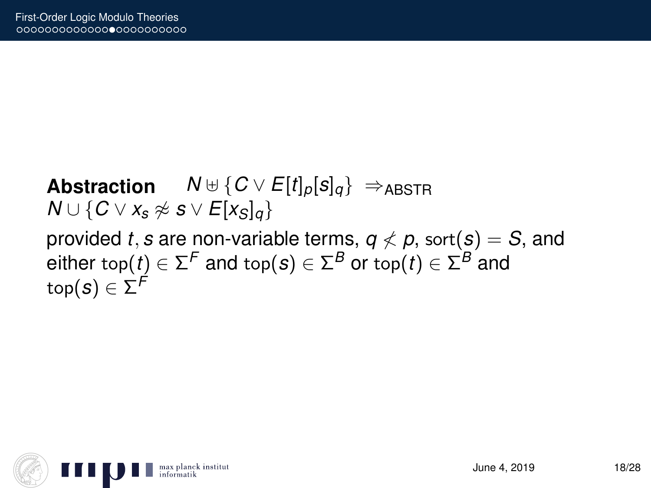**Abstraction**  $N \oplus \{C \vee E[t]_p[s]_q\} \Rightarrow_{ABSTR}$ *N* ∪ { $C \vee x_s \not\approx s \vee E[x_s]_q$ } provided *t*, *s* are non-variable terms,  $q \nless p$ , sort(*s*) = *S*, and  $\mathsf{either\ top}(t)\in \mathsf{\Sigma}^\mathcal{F}$  and  $\mathsf{top}(\mathcal{s})\in \mathsf{\Sigma}^\mathcal{B}$  or  $\mathsf{top}(t)\in \mathsf{\Sigma}^\mathcal{B}$  and  $\mathsf{top}(\bm{s}) \in \Sigma^{\textsf{F}}$ 

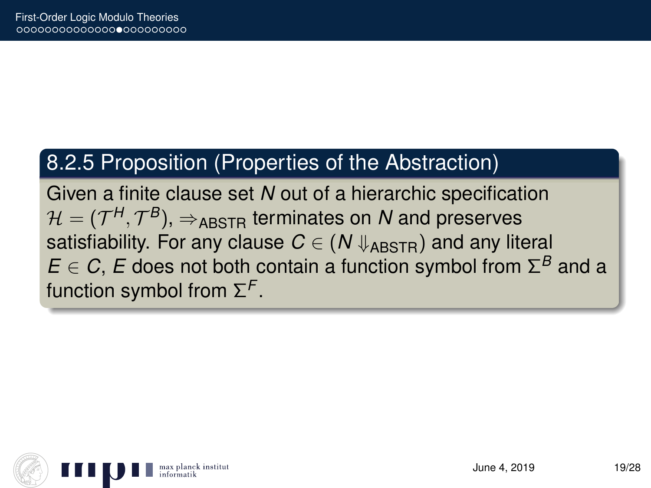### 8.2.5 Proposition (Properties of the Abstraction)

Given a finite clause set *N* out of a hierarchic specification  $\mathcal{H} = (\mathcal{T}^H, \mathcal{T}^B), \Rightarrow_\text{ABSTR}$  terminates on  $\boldsymbol{N}$  and preserves satisfiability. For any clause  $C \in (N \Downarrow_{ABSTR})$  and any literal  $E \in \mathcal{C}$ , *E* does not both contain a function symbol from  $\Sigma^B$  and a function symbol from Σ *F* .

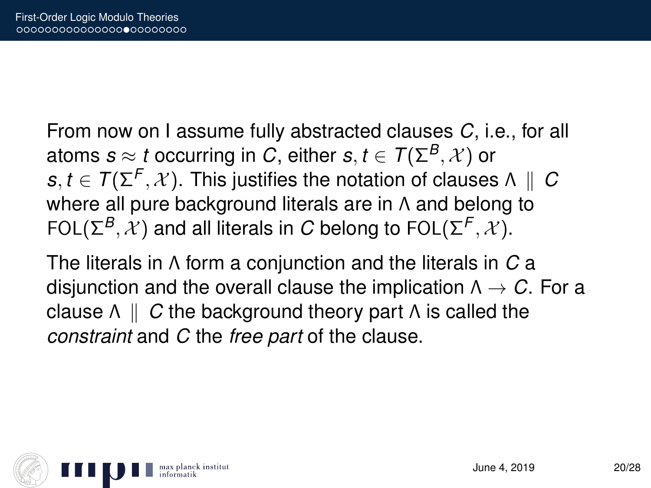From now on I assume fully abstracted clauses *C*, i.e., for all atoms  $s \approx t$  occurring in *C*, either  $s, t \in \mathcal{T}(\Sigma^B, \mathcal{X})$  or  $s,t \in \mathcal{T}(\Sigma^{\mathsf{F}}, \mathcal{X}).$  This justifies the notation of clauses  $\Lambda \parallel C$ where all pure background literals are in Λ and belong to FOL( $\Sigma^B$ ,  $X$ ) and all literals in *C* belong to FOL( $\Sigma^F$ ,  $X$ ).

The literals in Λ form a conjunction and the literals in *C* a disjunction and the overall clause the implication Λ → *C*. For a clause  $Λ$  || *C* the background theory part Λ is called the *constraint* and *C* the *free part* of the clause.

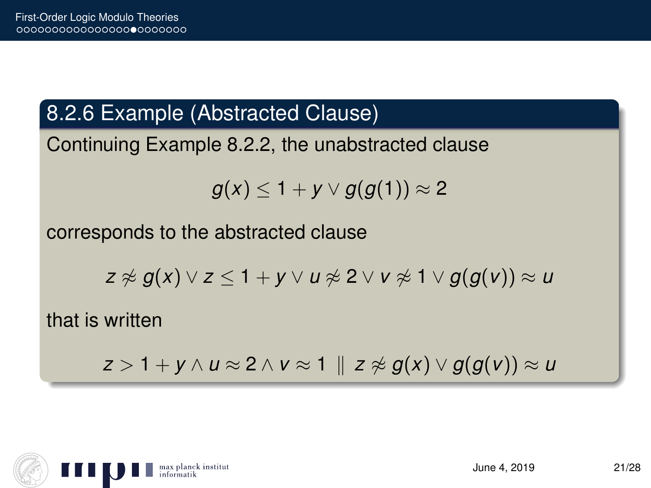### 8.2.6 Example (Abstracted Clause)

Continuing Example 8.2.2, the unabstracted clause

$$
g(x) \leq 1 + y \vee g(g(1)) \approx 2
$$

corresponds to the abstracted clause

$$
z \not\approx g(x) \vee z \leq 1 + y \vee u \not\approx 2 \vee v \not\approx 1 \vee g(g(v)) \approx u
$$

that is written

$$
z>1+y \wedge u \approx 2 \wedge v \approx 1 \parallel z \not\approx g(x) \vee g(g(v)) \approx u
$$

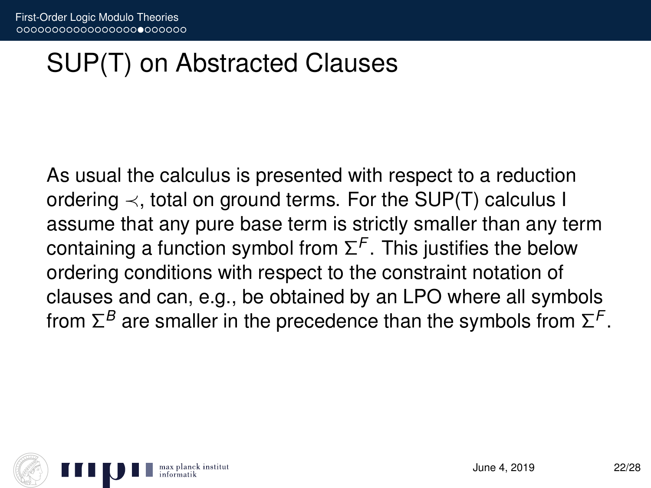## SUP(T) on Abstracted Clauses

As usual the calculus is presented with respect to a reduction ordering  $\prec$ , total on ground terms. For the SUP(T) calculus I assume that any pure base term is strictly smaller than any term containing a function symbol from  $\Sigma^\mathcal{F}$ . This justifies the below ordering conditions with respect to the constraint notation of clauses and can, e.g., be obtained by an LPO where all symbols from  $\Sigma^B$  are smaller in the precedence than the symbols from  $\Sigma^\mathsf{F}.$ 

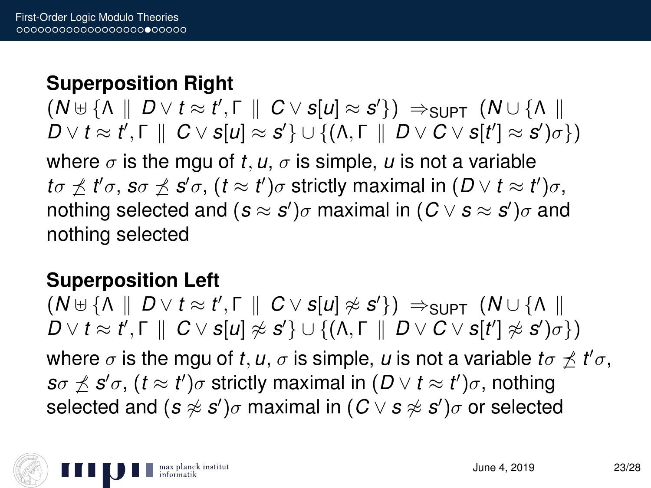### **Superposition Right**

 $(N \oplus {\Lambda} \parallel D \vee t \approx t', \Gamma \parallel C \vee s[u] \approx s' {\}) \Rightarrow_{\text{SUPT}} (N \cup {\Lambda} \parallel$  $D \vee t ≈ t',$  Γ  $\parallel C \vee$  *s*[*u*] ≈ *s'*} ∪ {(Λ, Γ  $\parallel D \vee C \vee$  *s*[*t'*] ≈ *s'*) $\sigma$ }) where  $\sigma$  is the mgu of *t*, *u*,  $\sigma$  is simple, *u* is not a variable *to*  $\measuredangle$  *t'σ, sσ*  $\measuredangle$  *s'σ,*  $(t \approx t')\sigma$  *strictly maximal in*  $(D \vee t \approx t')\sigma,$ nothing selected and  $(\bm{s} \approx \bm{s}')\sigma$  maximal in  $(\bm{C} \vee \bm{s} \approx \bm{s}')\sigma$  and nothing selected

#### **Superposition Left**

 $(N \uplus {\Lambda} \parallel D \vee t \approx t', \Gamma \parallel C \vee s[u] \not\approx s' {\}) \Rightarrow_{\text{SUPT}} (N \cup {\Lambda} \parallel$  $D \vee t \approx t', \Gamma \parallel C \vee s[u] \not\approx s' \} \cup \{ (\Lambda, \Gamma \parallel D \vee C \vee s[t'] \not\approx s')\sigma \})$ where  $\sigma$  is the mgu of *t*, *u*,  $\sigma$  is simple, *u* is not a variable  $t\sigma \not\preceq t'\sigma$ , *s* $\sigma \nleq s'$ *σ*,  $(t \approx t')$ *σ* strictly maximal in  $(D \vee t \approx t')$ *σ*, nothing  $\mathsf{s}$ elected and  $(\mathcal{s} \not\approx \mathcal{s}')\sigma$  maximal in  $(C \vee \mathcal{s} \not\approx \mathcal{s}')\sigma$  or selected

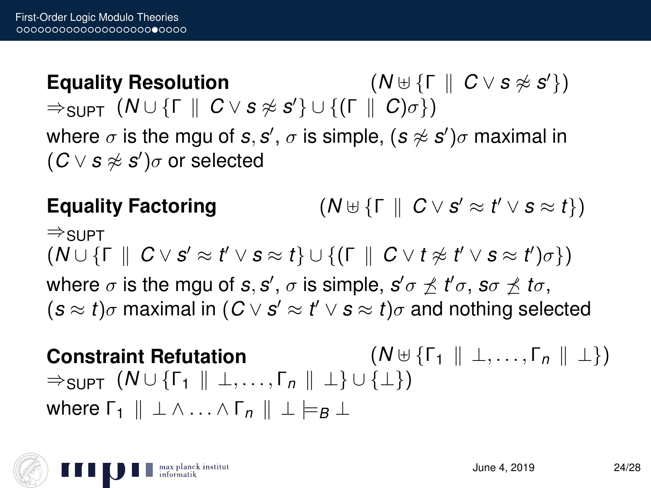$E$ *guality Resolution*  $(N \cup \{\Gamma \parallel C \vee s \not\approx s'\})$  $\Rightarrow$ supt  $(N \cup \{\Gamma \parallel C \vee s \not\approx s'\} \cup \{(\Gamma \parallel C) \sigma\})$ where  $\sigma$  is the mgu of *s*, *s'*,  $\sigma$  is simple,  $(\bm{s} \not\approx \bm{s}')\sigma$  maximal in  $(C \vee s \not\approx s')\sigma$  or selected

**Equality Factoring**  $v' \approx t' \vee s \approx t$ })  $\Rightarrow$ SUPT  $(W \cup \{\Gamma \parallel C \vee s' \approx t' \vee s \approx t\} \cup \{(\Gamma \parallel C \vee t \not\approx t' \vee s \approx t')\sigma\})$ where  $\sigma$  is the mgu of *s*, *s'* ,  $\sigma$  is simple,  $\bm{s}'\sigma\not\preceq\bm{t}'\sigma$ ,  $\bm{s}\sigma\not\preceq\bm{t}\sigma$ ,  $(s \approx t) \sigma$  maximal in  $(C \vee s' \approx t' \vee s \approx t) \sigma$  and nothing selected

**Constraint Refutation**  $(N \cup \{ \Gamma_1 \parallel \bot, ..., \Gamma_n \parallel \bot \})$  $\Rightarrow$ SUPT  $(N \cup \{F_1 \mid \bot, \ldots, F_n \mid \bot\} \cup \{\bot\})$ where  $\Gamma_1 \parallel \bot \wedge ... \wedge \Gamma_n \parallel \bot \models_B \bot$ 

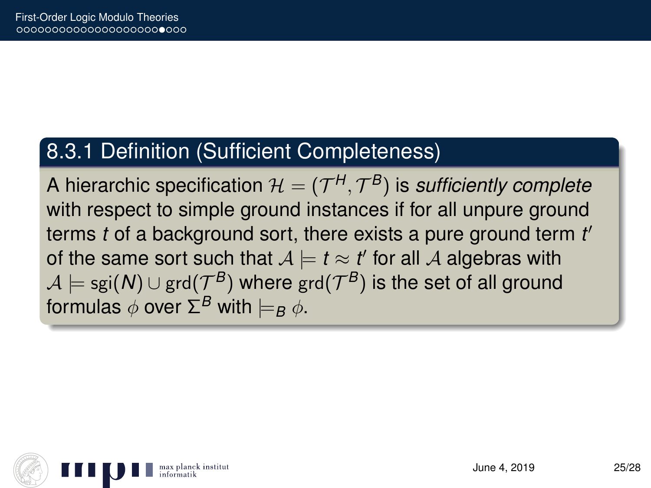### 8.3.1 Definition (Sufficient Completeness)

A hierarchic specification  $\mathcal{H} = (\mathcal{T}^H, \mathcal{T}^B)$  is *sufficiently complete* with respect to simple ground instances if for all unpure ground terms *t* of a background sort, there exists a pure ground term *t* 0 of the same sort such that  $A \models t \approx t'$  for all  $A$  algebras with  $\mathcal{A} \models \mathsf{sgi}(\pmb{N}) \cup \mathsf{grd}(\mathcal{T}^{\pmb{B}})$  where  $\mathsf{grd}(\mathcal{T}^{\pmb{B}})$  is the set of all ground formulas  $\phi$  over  $\Sigma^B$  with  $\models_B \phi$ .

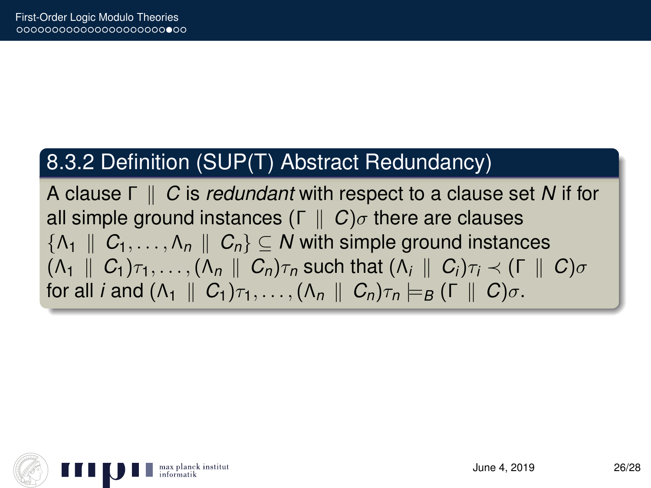### 8.3.2 Definition (SUP(T) Abstract Redundancy)

A clause Γ k *C* is *redundant* with respect to a clause set *N* if for all simple ground instances  $(\Gamma \parallel C)\sigma$  there are clauses  $\{\Lambda_1 \parallel C_1, \ldots, \Lambda_n \parallel C_n\} \subset \mathbb{N}$  with simple ground instances  $(A_1 \parallel C_1)\tau_1, \ldots, (A_n \parallel C_n)\tau_n$  such that  $(A_i \parallel C_i)\tau_i \prec (\Gamma \parallel C)\sigma$ for all *i* and  $(\Lambda_1 \parallel C_1)\tau_1, \ldots, (\Lambda_n \parallel C_n)\tau_n \models_B (\Gamma \parallel C)\sigma$ .